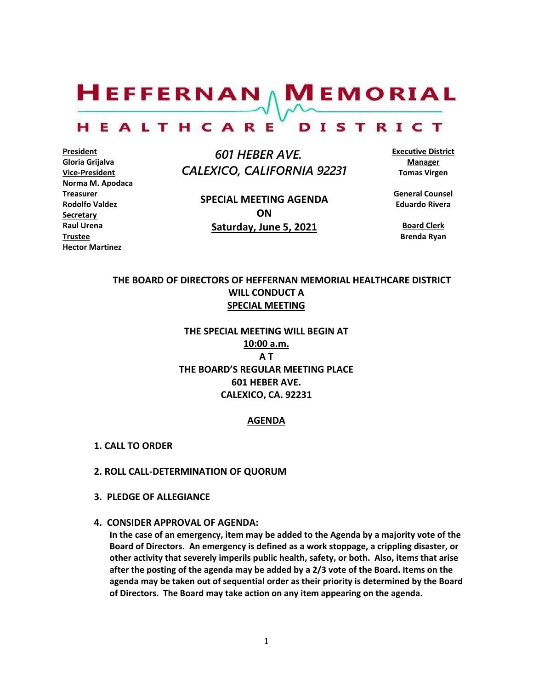$H$ EFFERNAN  $\wedge$  M EMORIAL HEALTHCARE DISTRICT

**President Gloria Grijalva Vice-President Norma M. Apodaca Treasurer Rodolfo Valdez Secretary Raul Urena Trustee Hector Martinez**

 *601 HEBER AVE. CALEXICO, CALIFORNIA 92231*

> **SPECIAL MEETING AGENDA ON Saturday, June 5, 2021**

**Executive District Manager Tomas Virgen**

**General Counsel Eduardo Rivera**

> **Board Clerk Brenda Ryan**

## **THE BOARD OF DIRECTORS OF HEFFERNAN MEMORIAL HEALTHCARE DISTRICT WILL CONDUCT A SPECIAL MEETING**

# **THE SPECIAL MEETING WILL BEGIN AT 10:00 a.m. A T THE BOARD'S REGULAR MEETING PLACE 601 HEBER AVE. CALEXICO, CA. 92231**

#### **AGENDA**

- **1. CALL TO ORDER**
- **2. ROLL CALL-DETERMINATION OF QUORUM**
- **3. PLEDGE OF ALLEGIANCE**
- **4. CONSIDER APPROVAL OF AGENDA:**

**In the case of an emergency, item may be added to the Agenda by a majority vote of the Board of Directors. An emergency is defined as a work stoppage, a crippling disaster, or other activity that severely imperils public health, safety, or both. Also, items that arise after the posting of the agenda may be added by a 2/3 vote of the Board. Items on the agenda may be taken out of sequential order as their priority is determined by the Board of Directors. The Board may take action on any item appearing on the agenda.**